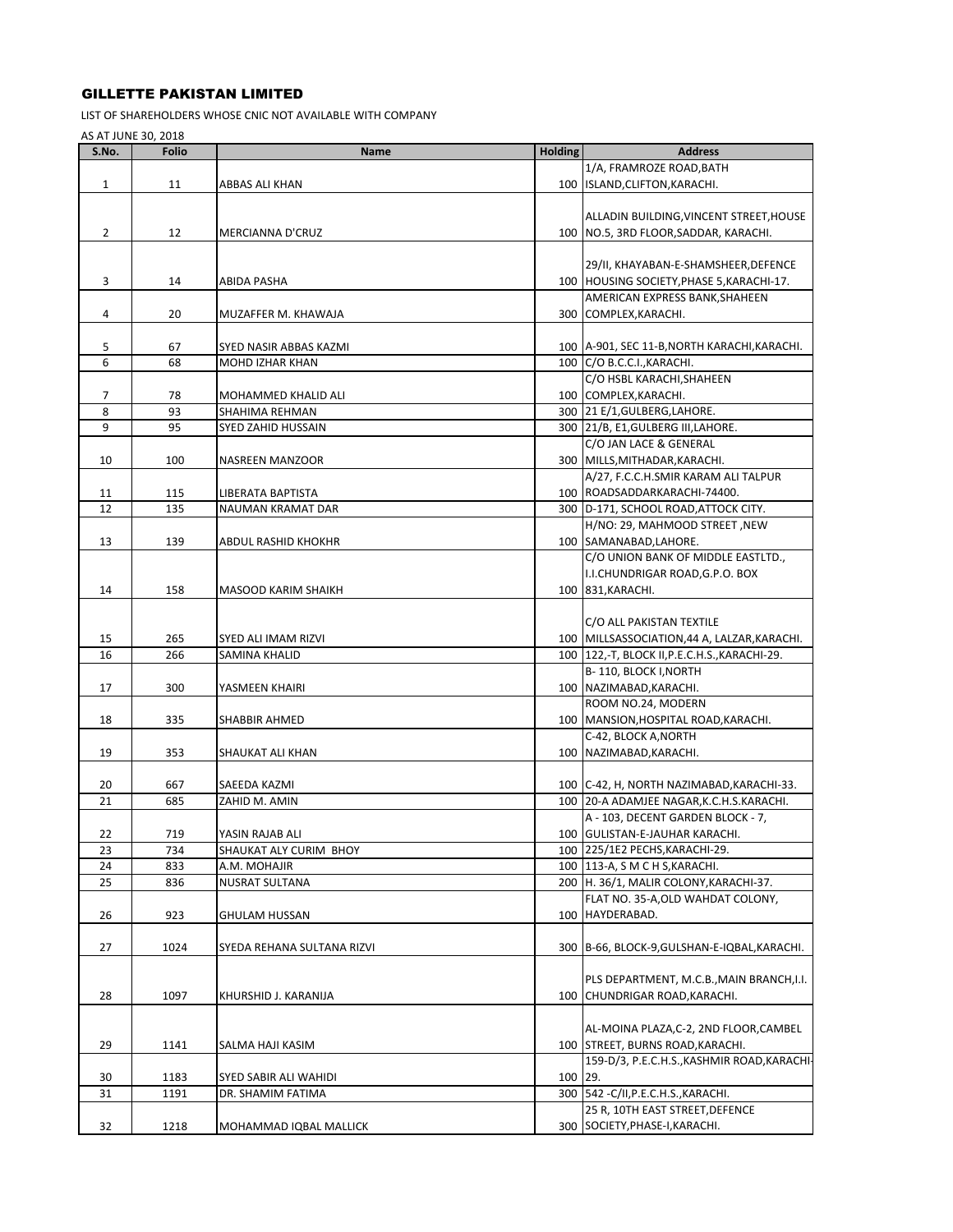## GILLETTE PAKISTAN LIMITED

LIST OF SHAREHOLDERS WHOSE CNIC NOT AVAILABLE WITH COMPANY

AS AT JUNE 30, 2018

| S.No.          | <b>Folio</b> | Name                       | <b>Holding</b> | <b>Address</b>                                                                  |
|----------------|--------------|----------------------------|----------------|---------------------------------------------------------------------------------|
|                |              |                            |                | 1/A, FRAMROZE ROAD, BATH                                                        |
| $\mathbf{1}$   | 11           | ABBAS ALI KHAN             |                | 100 ISLAND, CLIFTON, KARACHI.                                                   |
|                |              |                            |                |                                                                                 |
|                |              |                            |                | ALLADIN BUILDING, VINCENT STREET, HOUSE                                         |
| $\overline{2}$ | 12           | MERCIANNA D'CRUZ           |                | 100   NO.5, 3RD FLOOR, SADDAR, KARACHI.                                         |
|                |              |                            |                |                                                                                 |
|                |              |                            |                | 29/II, KHAYABAN-E-SHAMSHEER, DEFENCE                                            |
| 3              | 14           | ABIDA PASHA                |                | 100 HOUSING SOCIETY, PHASE 5, KARACHI-17.                                       |
|                |              |                            |                | AMERICAN EXPRESS BANK, SHAHEEN                                                  |
| 4              | 20           | MUZAFFER M. KHAWAJA        |                | 300 COMPLEX, KARACHI.                                                           |
|                |              |                            |                |                                                                                 |
| 5              | 67           | SYED NASIR ABBAS KAZMI     |                | 100   A-901, SEC 11-B, NORTH KARACHI, KARACHI.                                  |
| 6              | 68           | MOHD IZHAR KHAN            |                | 100 C/O B.C.C.I., KARACHI.                                                      |
|                |              |                            |                | C/O HSBL KARACHI, SHAHEEN                                                       |
| $\overline{7}$ | 78           | MOHAMMED KHALID ALI        |                | 100 COMPLEX, KARACHI.                                                           |
| 8              | 93           | SHAHIMA REHMAN             |                | 300 21 E/1, GULBERG, LAHORE.                                                    |
| 9              | 95           | SYED ZAHID HUSSAIN         |                | 300 21/B, E1, GULBERG III, LAHORE.                                              |
|                |              |                            |                | C/O JAN LACE & GENERAL                                                          |
| 10             | 100          | NASREEN MANZOOR            |                | 300 MILLS, MITHADAR, KARACHI.                                                   |
|                |              |                            |                | A/27, F.C.C.H.SMIR KARAM ALI TALPUR                                             |
| 11             | 115          | LIBERATA BAPTISTA          |                | 100 ROADSADDARKARACHI-74400.                                                    |
| 12             | 135          | <b>NAUMAN KRAMAT DAR</b>   |                | 300 D-171, SCHOOL ROAD, ATTOCK CITY.                                            |
|                |              |                            |                | H/NO: 29, MAHMOOD STREET, NEW                                                   |
| 13             | 139          | ABDUL RASHID KHOKHR        |                | 100 SAMANABAD, LAHORE.                                                          |
|                |              |                            |                | C/O UNION BANK OF MIDDLE EASTLTD.,                                              |
|                |              |                            |                | I.I.CHUNDRIGAR ROAD, G.P.O. BOX                                                 |
| 14             | 158          | MASOOD KARIM SHAIKH        |                | 100 831, KARACHI.                                                               |
|                |              |                            |                |                                                                                 |
|                |              |                            |                | C/O ALL PAKISTAN TEXTILE                                                        |
| 15             | 265          | SYED ALI IMAM RIZVI        |                | 100 MILLSASSOCIATION, 44 A, LALZAR, KARACHI.                                    |
| 16             | 266          | SAMINA KHALID              |                | 100   122,-T, BLOCK II, P.E.C.H.S., KARACHI-29.                                 |
|                |              |                            |                | B-110, BLOCK I, NORTH                                                           |
| 17             | 300          | YASMEEN KHAIRI             |                | 100 NAZIMABAD, KARACHI.                                                         |
|                |              |                            |                | ROOM NO.24, MODERN                                                              |
| 18             | 335          | SHABBIR AHMED              |                | 100   MANSION, HOSPITAL ROAD, KARACHI.                                          |
|                |              |                            |                | C-42, BLOCK A, NORTH                                                            |
| 19             | 353          | SHAUKAT ALI KHAN           |                | 100 NAZIMABAD, KARACHI.                                                         |
|                |              |                            |                |                                                                                 |
| 20             | 667          | SAEEDA KAZMI               |                | 100 C-42, H, NORTH NAZIMABAD, KARACHI-33.                                       |
| 21             | 685          | ZAHID M. AMIN              |                | 100 20-A ADAMJEE NAGAR, K.C.H.S. KARACHI.                                       |
|                |              |                            |                | A - 103, DECENT GARDEN BLOCK - 7,                                               |
| 22             | 719          | YASIN RAJAB ALI            |                | 100 GULISTAN-E-JAUHAR KARACHI.                                                  |
| 23             | 734          | SHAUKAT ALY CURIM BHOY     |                | 100 225/1E2 PECHS, KARACHI-29.                                                  |
| 24             | 833          | A.M. MOHAJIR               |                | 100 113-A, S M C H S, KARACHI.                                                  |
| 25             | 836          | NUSRAT SULTANA             |                | 200 H. 36/1, MALIR COLONY, KARACHI-37.                                          |
|                |              |                            |                | FLAT NO. 35-A, OLD WAHDAT COLONY,                                               |
| 26             | 923          | <b>GHULAM HUSSAN</b>       |                | 100 HAYDERABAD.                                                                 |
|                |              |                            |                |                                                                                 |
| 27             | 1024         | SYEDA REHANA SULTANA RIZVI |                | 300 B-66, BLOCK-9, GULSHAN-E-IQBAL, KARACHI.                                    |
|                |              |                            |                |                                                                                 |
|                |              |                            |                | PLS DEPARTMENT, M.C.B., MAIN BRANCH, I.I.                                       |
| 28             | 1097         | KHURSHID J. KARANIJA       |                | 100 CHUNDRIGAR ROAD, KARACHI.                                                   |
|                |              |                            |                |                                                                                 |
|                |              |                            |                | AL-MOINA PLAZA, C-2, 2ND FLOOR, CAMBEL                                          |
|                |              |                            |                |                                                                                 |
| 29             | 1141         | SALMA HAJI KASIM           |                | 100 STREET, BURNS ROAD, KARACHI.<br>159-D/3, P.E.C.H.S., KASHMIR ROAD, KARACHI- |
|                |              |                            |                |                                                                                 |
| 30             | 1183         | SYED SABIR ALI WAHIDI      | 100 29.        |                                                                                 |
| 31             | 1191         | DR. SHAMIM FATIMA          |                | 300 542 - C/II, P.E.C.H.S., KARACHI.                                            |
|                |              |                            |                | 25 R, 10TH EAST STREET, DEFENCE                                                 |
| 32             | 1218         | MOHAMMAD IQBAL MALLICK     |                | 300 SOCIETY, PHASE-I, KARACHI.                                                  |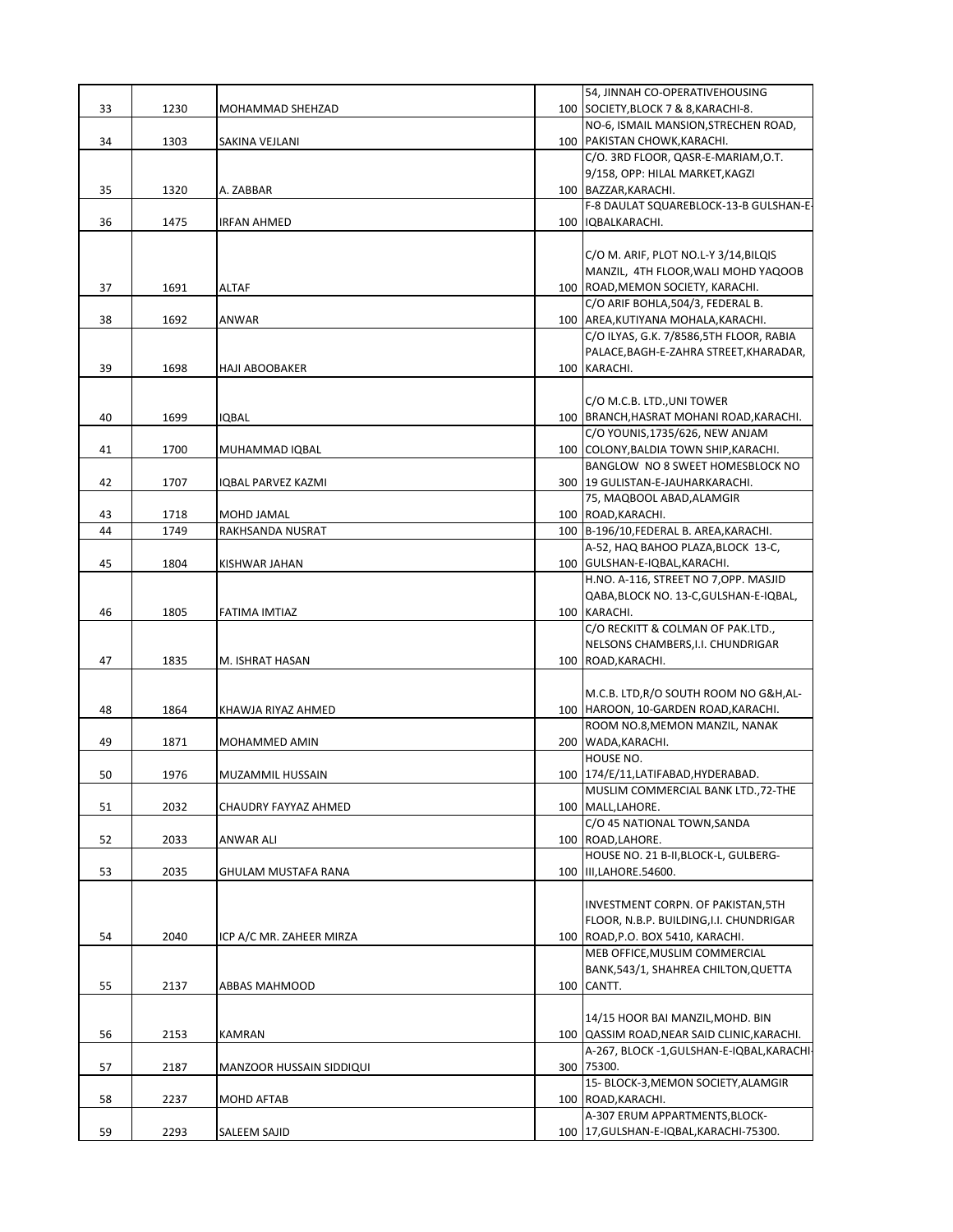|    |      |                          | 54, JINNAH CO-OPERATIVEHOUSING              |
|----|------|--------------------------|---------------------------------------------|
| 33 | 1230 | <b>MOHAMMAD SHEHZAD</b>  | 100 SOCIETY, BLOCK 7 & 8, KARACHI-8.        |
|    |      |                          | NO-6, ISMAIL MANSION, STRECHEN ROAD,        |
| 34 | 1303 | SAKINA VEJLANI           | 100 PAKISTAN CHOWK, KARACHI.                |
|    |      |                          | C/O. 3RD FLOOR, QASR-E-MARIAM, O.T.         |
|    |      |                          | 9/158, OPP: HILAL MARKET, KAGZI             |
| 35 | 1320 | A. ZABBAR                | 100   BAZZAR, KARACHI.                      |
|    |      |                          | F-8 DAULAT SQUAREBLOCK-13-B GULSHAN-E-      |
| 36 | 1475 | IRFAN AHMED              | 100   IQBALKARACHI.                         |
|    |      |                          |                                             |
|    |      |                          | C/O M. ARIF, PLOT NO.L-Y 3/14, BILQIS       |
|    |      |                          | MANZIL, 4TH FLOOR, WALI MOHD YAQOOB         |
|    |      |                          |                                             |
| 37 | 1691 | <b>ALTAF</b>             | 100 ROAD, MEMON SOCIETY, KARACHI.           |
|    |      |                          | C/O ARIF BOHLA, 504/3, FEDERAL B.           |
| 38 | 1692 | ANWAR                    | 100 AREA, KUTIYANA MOHALA, KARACHI.         |
|    |      |                          | C/O ILYAS, G.K. 7/8586,5TH FLOOR, RABIA     |
|    |      |                          | PALACE, BAGH-E-ZAHRA STREET, KHARADAR,      |
| 39 | 1698 | <b>HAJI ABOOBAKER</b>    | 100 KARACHI.                                |
|    |      |                          |                                             |
|    |      |                          | C/O M.C.B. LTD., UNI TOWER                  |
| 40 | 1699 | IQBAL                    | 100 BRANCH, HASRAT MOHANI ROAD, KARACHI.    |
|    |      |                          | C/O YOUNIS, 1735/626, NEW ANJAM             |
| 41 | 1700 | MUHAMMAD IQBAL           | 100 COLONY, BALDIA TOWN SHIP, KARACHI.      |
|    |      |                          | BANGLOW NO 8 SWEET HOMESBLOCK NO            |
| 42 | 1707 | IQBAL PARVEZ KAZMI       | 300 19 GULISTAN-E-JAUHARKARACHI.            |
|    |      |                          | 75, MAQBOOL ABAD, ALAMGIR                   |
| 43 | 1718 | MOHD JAMAL               | 100 ROAD, KARACHI.                          |
| 44 | 1749 | RAKHSANDA NUSRAT         | 100 B-196/10, FEDERAL B. AREA, KARACHI.     |
|    |      |                          | A-52, HAQ BAHOO PLAZA, BLOCK 13-C,          |
| 45 | 1804 | KISHWAR JAHAN            | 100   GULSHAN-E-IQBAL, KARACHI.             |
|    |      |                          | H.NO. A-116, STREET NO 7, OPP. MASJID       |
|    |      |                          | QABA, BLOCK NO. 13-C, GULSHAN-E-IQBAL,      |
|    |      |                          | 100 KARACHI.                                |
| 46 | 1805 | FATIMA IMTIAZ            |                                             |
|    |      |                          | C/O RECKITT & COLMAN OF PAK.LTD.,           |
|    |      |                          | NELSONS CHAMBERS, I.I. CHUNDRIGAR           |
| 47 | 1835 | M. ISHRAT HASAN          | 100 ROAD, KARACHI.                          |
|    |      |                          |                                             |
|    |      |                          | M.C.B. LTD, R/O SOUTH ROOM NO G&H, AL-      |
| 48 | 1864 | KHAWJA RIYAZ AHMED       | 100 HAROON, 10-GARDEN ROAD, KARACHI.        |
|    |      |                          | ROOM NO.8, MEMON MANZIL, NANAK              |
| 49 | 1871 | MOHAMMED AMIN            | 200 WADA, KARACHI.                          |
|    |      |                          | HOUSE NO.                                   |
| 50 | 1976 | MUZAMMIL HUSSAIN         | 100   174/E/11, LATIFABAD, HYDERABAD.       |
|    |      |                          | MUSLIM COMMERCIAL BANK LTD., 72-THE         |
| 51 | 2032 | CHAUDRY FAYYAZ AHMED     | 100 MALL, LAHORE.                           |
|    |      |                          | C/O 45 NATIONAL TOWN, SANDA                 |
| 52 | 2033 | ANWAR ALI                | 100 ROAD, LAHORE.                           |
|    |      |                          | HOUSE NO. 21 B-II, BLOCK-L, GULBERG-        |
| 53 | 2035 | GHULAM MUSTAFA RANA      | 100 III, LAHORE. 54600.                     |
|    |      |                          |                                             |
|    |      |                          | INVESTMENT CORPN. OF PAKISTAN, 5TH          |
|    |      |                          | FLOOR, N.B.P. BUILDING, I.I. CHUNDRIGAR     |
| 54 | 2040 | ICP A/C MR. ZAHEER MIRZA | 100 ROAD, P.O. BOX 5410, KARACHI.           |
|    |      |                          | MEB OFFICE, MUSLIM COMMERCIAL               |
|    |      |                          | BANK, 543/1, SHAHREA CHILTON, QUETTA        |
| 55 | 2137 | ABBAS MAHMOOD            | 100 CANTT.                                  |
|    |      |                          |                                             |
|    |      |                          |                                             |
|    |      |                          | 14/15 HOOR BAI MANZIL, MOHD. BIN            |
| 56 | 2153 | KAMRAN                   | 100 QASSIM ROAD, NEAR SAID CLINIC, KARACHI. |
|    |      |                          | A-267, BLOCK -1, GULSHAN-E-IQBAL, KARACHI-  |
| 57 | 2187 | MANZOOR HUSSAIN SIDDIQUI | 300 75300.                                  |
|    |      |                          | 15- BLOCK-3, MEMON SOCIETY, ALAMGIR         |
| 58 | 2237 | MOHD AFTAB               | 100 ROAD, KARACHI.                          |
|    |      |                          | A-307 ERUM APPARTMENTS, BLOCK-              |
| 59 | 2293 | SALEEM SAJID             | 100   17, GULSHAN-E-IQBAL, KARACHI-75300.   |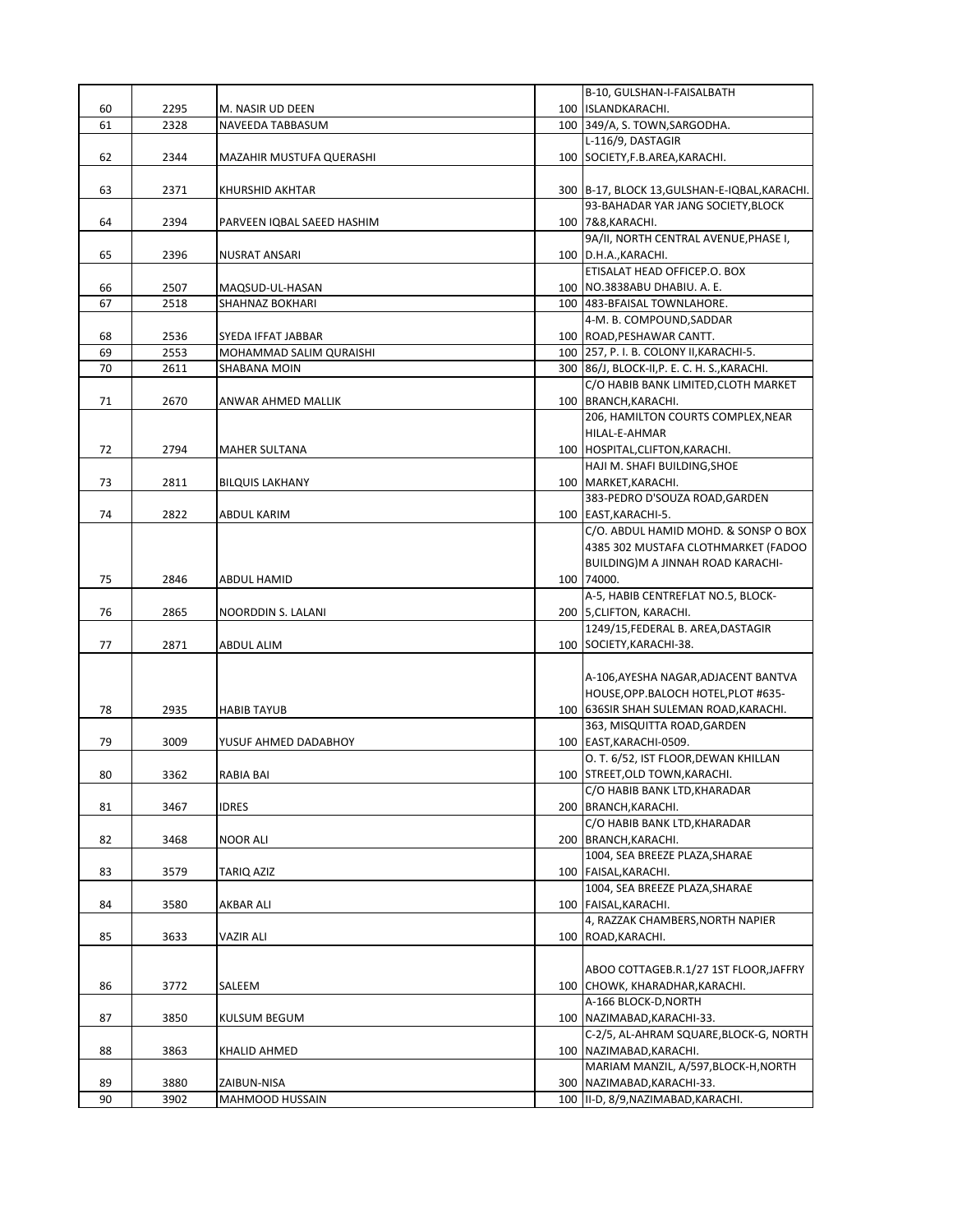|          |              |                            | B-10, GULSHAN-I-FAISALBATH                                   |
|----------|--------------|----------------------------|--------------------------------------------------------------|
| 60       | 2295         | M. NASIR UD DEEN           | 100 ISLANDKARACHI.                                           |
| 61       | 2328         | NAVEEDA TABBASUM           | 100 349/A, S. TOWN, SARGODHA.                                |
|          |              |                            | L-116/9, DASTAGIR                                            |
| 62       | 2344         | MAZAHIR MUSTUFA QUERASHI   | 100   SOCIETY, F.B. AREA, KARACHI.                           |
|          |              |                            |                                                              |
| 63       | 2371         | KHURSHID AKHTAR            | 300 B-17, BLOCK 13, GULSHAN-E-IQBAL, KARACHI.                |
|          |              |                            | 93-BAHADAR YAR JANG SOCIETY, BLOCK                           |
| 64       | 2394         | PARVEEN IQBAL SAEED HASHIM | 100 7&8, KARACHI.                                            |
|          |              |                            | 9A/II, NORTH CENTRAL AVENUE, PHASE I,                        |
| 65       | 2396         | NUSRAT ANSARI              | 100 D.H.A., KARACHI.                                         |
|          |              |                            | ETISALAT HEAD OFFICEP.O. BOX                                 |
| 66       | 2507         | MAQSUD-UL-HASAN            | 100 NO.3838ABU DHABIU. A. E.                                 |
| 67       | 2518         | <b>SHAHNAZ BOKHARI</b>     | 100 483-BFAISAL TOWNLAHORE.                                  |
|          |              |                            | 4-M. B. COMPOUND, SADDAR                                     |
| 68       | 2536         | SYEDA IFFAT JABBAR         | 100 ROAD, PESHAWAR CANTT.                                    |
| 69<br>70 | 2553<br>2611 | MOHAMMAD SALIM QURAISHI    | 100 257, P. I. B. COLONY II, KARACHI-5.                      |
|          |              | SHABANA MOIN               | 300 86/J, BLOCK-II, P. E. C. H. S., KARACHI.                 |
| 71       | 2670         |                            | C/O HABIB BANK LIMITED, CLOTH MARKET<br>100 BRANCH, KARACHI. |
|          |              | ANWAR AHMED MALLIK         | 206, HAMILTON COURTS COMPLEX, NEAR                           |
|          |              |                            | HILAL-E-AHMAR                                                |
| 72       | 2794         | <b>MAHER SULTANA</b>       | 100 HOSPITAL, CLIFTON, KARACHI.                              |
|          |              |                            | HAJI M. SHAFI BUILDING, SHOE                                 |
| 73       | 2811         | <b>BILQUIS LAKHANY</b>     | 100 MARKET, KARACHI.                                         |
|          |              |                            | 383-PEDRO D'SOUZA ROAD, GARDEN                               |
| 74       | 2822         | ABDUL KARIM                | 100 EAST, KARACHI-5.                                         |
|          |              |                            | C/O. ABDUL HAMID MOHD. & SONSP O BOX                         |
|          |              |                            | 4385 302 MUSTAFA CLOTHMARKET (FADOO                          |
|          |              |                            | BUILDING)M A JINNAH ROAD KARACHI-                            |
| 75       | 2846         | ABDUL HAMID                | 100 74000.                                                   |
|          |              |                            | A-5, HABIB CENTREFLAT NO.5, BLOCK-                           |
| 76       | 2865         | NOORDDIN S. LALANI         | 200 5, CLIFTON, KARACHI.                                     |
|          |              |                            | 1249/15, FEDERAL B. AREA, DASTAGIR                           |
| 77       | 2871         | ABDUL ALIM                 | 100 SOCIETY, KARACHI-38.                                     |
|          |              |                            |                                                              |
|          |              |                            | A-106, AYESHA NAGAR, ADJACENT BANTVA                         |
|          |              |                            | HOUSE, OPP.BALOCH HOTEL, PLOT #635-                          |
| 78       | 2935         | <b>HABIB TAYUB</b>         | 100 636SIR SHAH SULEMAN ROAD, KARACHI.                       |
|          |              |                            | 363, MISQUITTA ROAD, GARDEN                                  |
| 79       | 3009         | YUSUF AHMED DADABHOY       | 100 EAST, KARACHI-0509.                                      |
|          |              |                            | O. T. 6/52, IST FLOOR, DEWAN KHILLAN                         |
| 80       | 3362         | RABIA BAI                  | 100 STREET, OLD TOWN, KARACHI.                               |
|          |              |                            | C/O HABIB BANK LTD, KHARADAR                                 |
| 81       | 3467         | IDRES                      | 200 BRANCH, KARACHI.                                         |
|          |              |                            | C/O HABIB BANK LTD, KHARADAR                                 |
| 82       | 3468         | NOOR ALI                   | 200 BRANCH, KARACHI.                                         |
|          |              |                            | 1004, SEA BREEZE PLAZA, SHARAE                               |
| 83       | 3579         | TARIQ AZIZ                 | 100 FAISAL, KARACHI.                                         |
|          |              |                            | 1004, SEA BREEZE PLAZA, SHARAE                               |
| 84       | 3580         | AKBAR ALI                  | 100   FAISAL, KARACHI.<br>4, RAZZAK CHAMBERS, NORTH NAPIER   |
| 85       | 3633         | VAZIR ALI                  | 100 ROAD, KARACHI.                                           |
|          |              |                            |                                                              |
|          |              |                            | ABOO COTTAGEB.R.1/27 1ST FLOOR, JAFFRY                       |
| 86       | 3772         | SALEEM                     | 100 CHOWK, KHARADHAR, KARACHI.                               |
|          |              |                            | A-166 BLOCK-D, NORTH                                         |
| 87       | 3850         | KULSUM BEGUM               | 100 NAZIMABAD, KARACHI-33.                                   |
|          |              |                            | C-2/5, AL-AHRAM SQUARE, BLOCK-G, NORTH                       |
| 88       | 3863         | KHALID AHMED               | 100 NAZIMABAD, KARACHI.                                      |
|          |              |                            | MARIAM MANZIL, A/597, BLOCK-H, NORTH                         |
| 89       | 3880         | ZAIBUN-NISA                | 300 NAZIMABAD, KARACHI-33.                                   |
| 90       | 3902         | MAHMOOD HUSSAIN            | 100 II-D, 8/9, NAZIMABAD, KARACHI.                           |
|          |              |                            |                                                              |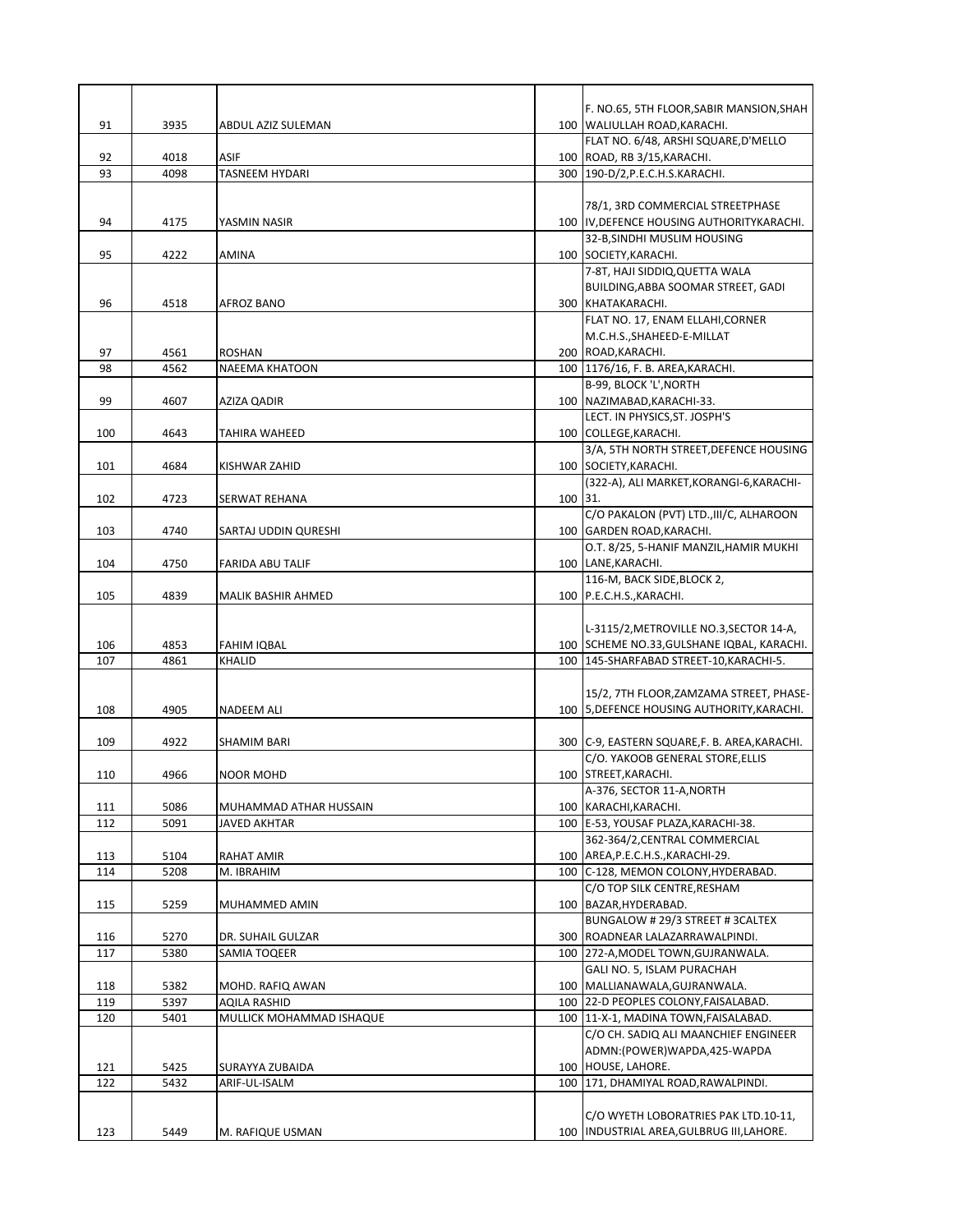|     |      |                          |         | F. NO.65, 5TH FLOOR, SABIR MANSION, SHAH        |
|-----|------|--------------------------|---------|-------------------------------------------------|
| 91  | 3935 | ABDUL AZIZ SULEMAN       |         | 100 WALIULLAH ROAD, KARACHI.                    |
|     |      |                          |         | FLAT NO. 6/48, ARSHI SQUARE, D'MELLO            |
| 92  | 4018 | ASIF                     |         | 100 ROAD, RB 3/15, KARACHI.                     |
| 93  | 4098 | <b>TASNEEM HYDARI</b>    |         | 300   190-D/2, P.E.C.H.S.KARACHI.               |
|     |      |                          |         |                                                 |
|     |      |                          |         | 78/1, 3RD COMMERCIAL STREETPHASE                |
| 94  | 4175 | YASMIN NASIR             |         | 100 IV, DEFENCE HOUSING AUTHORITYKARACHI.       |
|     |      |                          |         | 32-B, SINDHI MUSLIM HOUSING                     |
| 95  | 4222 | AMINA                    |         | 100 SOCIETY, KARACHI.                           |
|     |      |                          |         | 7-8T, HAJI SIDDIQ, QUETTA WALA                  |
|     |      |                          |         | BUILDING, ABBA SOOMAR STREET, GADI              |
| 96  | 4518 | AFROZ BANO               |         | 300 KHATAKARACHI.                               |
|     |      |                          |         | FLAT NO. 17, ENAM ELLAHI, CORNER                |
|     |      |                          |         | M.C.H.S., SHAHEED-E-MILLAT                      |
| 97  | 4561 | ROSHAN                   |         | 200 ROAD, KARACHI.                              |
| 98  | 4562 | NAEEMA KHATOON           |         | 100   1176/16, F. B. AREA, KARACHI.             |
|     |      |                          |         | B-99, BLOCK 'L', NORTH                          |
| 99  | 4607 | AZIZA QADIR              |         | 100 NAZIMABAD, KARACHI-33.                      |
|     |      |                          |         | LECT. IN PHYSICS, ST. JOSPH'S                   |
| 100 | 4643 | TAHIRA WAHEED            |         | 100 COLLEGE, KARACHI.                           |
|     |      |                          |         | 3/A, 5TH NORTH STREET, DEFENCE HOUSING          |
| 101 | 4684 | KISHWAR ZAHID            |         | 100 SOCIETY, KARACHI.                           |
|     |      |                          |         | (322-A), ALI MARKET, KORANGI-6, KARACHI-        |
| 102 | 4723 | <b>SERWAT REHANA</b>     | 100 31. |                                                 |
|     |      |                          |         | C/O PAKALON (PVT) LTD., III/C, ALHAROON         |
| 103 | 4740 | SARTAJ UDDIN QURESHI     |         | 100 GARDEN ROAD, KARACHI.                       |
|     |      |                          |         | O.T. 8/25, 5-HANIF MANZIL, HAMIR MUKHI          |
| 104 | 4750 | FARIDA ABU TALIF         |         | 100 LANE, KARACHI.                              |
|     |      |                          |         | 116-M, BACK SIDE, BLOCK 2,                      |
| 105 | 4839 | MALIK BASHIR AHMED       |         | 100   P.E.C.H.S., KARACHI.                      |
|     |      |                          |         |                                                 |
|     |      |                          |         | L-3115/2, METROVILLE NO.3, SECTOR 14-A,         |
| 106 | 4853 | <b>FAHIM IQBAL</b>       |         | 100 SCHEME NO.33, GULSHANE IQBAL, KARACHI.      |
| 107 | 4861 | <b>KHALID</b>            |         | 100   145-SHARFABAD STREET-10, KARACHI-5.       |
|     |      |                          |         |                                                 |
|     |      |                          |         | 15/2, 7TH FLOOR, ZAMZAMA STREET, PHASE-         |
|     |      |                          |         |                                                 |
| 108 | 4905 | NADEEM ALI               |         | 100 5, DEFENCE HOUSING AUTHORITY, KARACHI.      |
|     |      |                          |         |                                                 |
| 109 | 4922 | SHAMIM BARI              |         | 300   C-9, EASTERN SQUARE, F. B. AREA, KARACHI. |
|     |      |                          |         | C/O. YAKOOB GENERAL STORE, ELLIS                |
| 110 | 4966 | <b>NOOR MOHD</b>         |         | 100 STREET, KARACHI.                            |
|     |      |                          |         | A-376, SECTOR 11-A, NORTH                       |
| 111 | 5086 | MUHAMMAD ATHAR HUSSAIN   |         | 100 KARACHI, KARACHI.                           |
| 112 | 5091 | JAVED AKHTAR             |         | 100 E-53, YOUSAF PLAZA, KARACHI-38.             |
|     |      |                          |         | 362-364/2, CENTRAL COMMERCIAL                   |
| 113 | 5104 | RAHAT AMIR               |         | 100 AREA, P.E.C.H.S., KARACHI-29.               |
| 114 | 5208 | M. IBRAHIM               |         | 100 C-128, MEMON COLONY, HYDERABAD.             |
|     |      |                          |         | C/O TOP SILK CENTRE, RESHAM                     |
| 115 | 5259 | MUHAMMED AMIN            |         | 100 BAZAR, HYDERABAD.                           |
|     |      |                          |         | BUNGALOW # 29/3 STREET # 3CALTEX                |
| 116 | 5270 | DR. SUHAIL GULZAR        |         | 300 ROADNEAR LALAZARRAWALPINDI.                 |
| 117 | 5380 | SAMIA TOQEER             |         | 100 272-A, MODEL TOWN, GUJRANWALA.              |
|     |      |                          |         | GALI NO. 5, ISLAM PURACHAH                      |
| 118 | 5382 | MOHD. RAFIQ AWAN         |         | 100 MALLIANAWALA, GUJRANWALA.                   |
| 119 | 5397 | AQILA RASHID             |         | 100 22-D PEOPLES COLONY, FAISALABAD.            |
| 120 | 5401 | MULLICK MOHAMMAD ISHAQUE |         | 100   11-X-1, MADINA TOWN, FAISALABAD.          |
|     |      |                          |         | C/O CH. SADIQ ALI MAANCHIEF ENGINEER            |
|     |      |                          |         | ADMN:(POWER)WAPDA,425-WAPDA                     |
| 121 | 5425 | SURAYYA ZUBAIDA          |         | 100 HOUSE, LAHORE.                              |
| 122 | 5432 | ARIF-UL-ISALM            |         | 100 171, DHAMIYAL ROAD, RAWALPINDI.             |
|     |      |                          |         |                                                 |
|     |      |                          |         | C/O WYETH LOBORATRIES PAK LTD.10-11,            |
| 123 | 5449 | M. RAFIQUE USMAN         |         | 100   INDUSTRIAL AREA, GULBRUG III, LAHORE.     |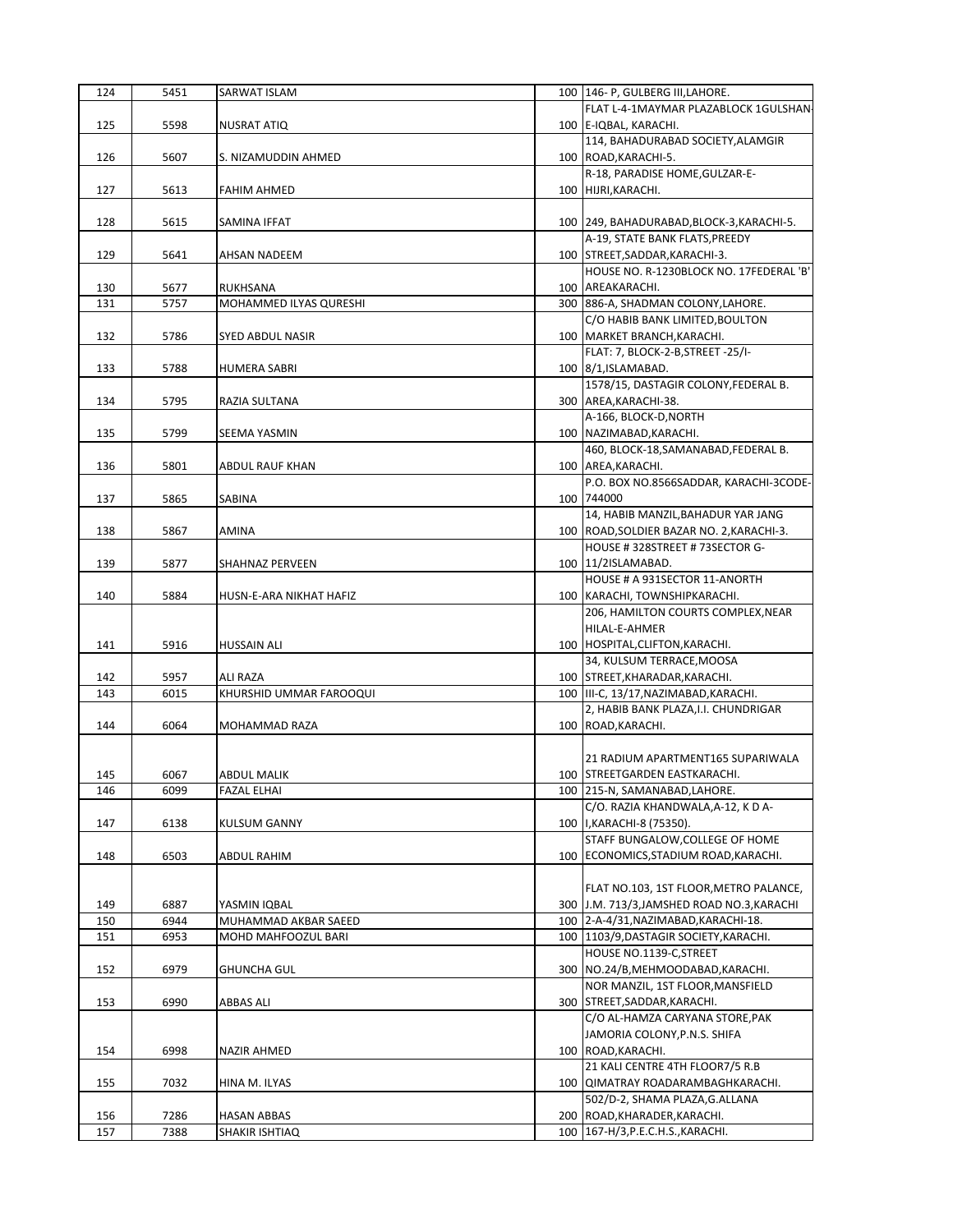| 124 | 5451 | SARWAT ISLAM                        | 100   146- P, GULBERG III, LAHORE.                                        |
|-----|------|-------------------------------------|---------------------------------------------------------------------------|
|     |      |                                     | FLAT L-4-1MAYMAR PLAZABLOCK 1GULSHAN-                                     |
| 125 | 5598 | NUSRAT ATIQ                         | 100 E-IQBAL, KARACHI.                                                     |
|     |      |                                     | 114, BAHADURABAD SOCIETY, ALAMGIR                                         |
| 126 | 5607 | S. NIZAMUDDIN AHMED                 | 100 ROAD, KARACHI-5.                                                      |
|     |      |                                     | R-18, PARADISE HOME, GULZAR-E-                                            |
| 127 | 5613 | <b>FAHIM AHMED</b>                  | 100 HIJRI, KARACHI.                                                       |
|     |      |                                     |                                                                           |
| 128 | 5615 | SAMINA IFFAT                        | 100 249, BAHADURABAD, BLOCK-3, KARACHI-5.                                 |
|     |      |                                     | A-19, STATE BANK FLATS, PREEDY                                            |
| 129 | 5641 | AHSAN NADEEM                        | 100   STREET, SADDAR, KARACHI-3.                                          |
|     |      |                                     | HOUSE NO. R-1230BLOCK NO. 17FEDERAL 'B'                                   |
| 130 | 5677 | RUKHSANA                            | 100 AREAKARACHI.                                                          |
| 131 | 5757 | MOHAMMED ILYAS QURESHI              | 300 886-A, SHADMAN COLONY, LAHORE.                                        |
|     |      |                                     | C/O HABIB BANK LIMITED, BOULTON                                           |
| 132 | 5786 | SYED ABDUL NASIR                    | 100   MARKET BRANCH, KARACHI.                                             |
|     |      |                                     | FLAT: 7, BLOCK-2-B, STREET - 25/I-                                        |
| 133 | 5788 | HUMERA SABRI                        | 100 8/1, ISLAMABAD.                                                       |
|     |      |                                     | 1578/15, DASTAGIR COLONY, FEDERAL B.                                      |
| 134 | 5795 | RAZIA SULTANA                       | 300 AREA, KARACHI-38.                                                     |
|     |      |                                     | A-166, BLOCK-D, NORTH                                                     |
| 135 | 5799 | <b>SEEMA YASMIN</b>                 | 100 NAZIMABAD, KARACHI.                                                   |
|     |      |                                     | 460, BLOCK-18, SAMANABAD, FEDERAL B.                                      |
| 136 | 5801 | ABDUL RAUF KHAN                     | 100 AREA, KARACHI.                                                        |
|     |      |                                     | P.O. BOX NO.8566SADDAR, KARACHI-3CODE-                                    |
| 137 | 5865 | SABINA                              | 100 744000                                                                |
|     |      |                                     | 14, HABIB MANZIL, BAHADUR YAR JANG                                        |
| 138 | 5867 | AMINA                               | 100   ROAD, SOLDIER BAZAR NO. 2, KARACHI-3.                               |
|     |      |                                     | HOUSE #328STREET #73SECTOR G-                                             |
| 139 | 5877 | SHAHNAZ PERVEEN                     | 100 11/2ISLAMABAD.                                                        |
|     |      |                                     | HOUSE # A 931SECTOR 11-ANORTH                                             |
| 140 | 5884 | HUSN-E-ARA NIKHAT HAFIZ             | 100 KARACHI, TOWNSHIPKARACHI.                                             |
|     |      |                                     | 206, HAMILTON COURTS COMPLEX, NEAR                                        |
|     |      |                                     | HILAL-E-AHMER                                                             |
| 141 | 5916 | HUSSAIN ALI                         | 100   HOSPITAL, CLIFTON, KARACHI.                                         |
| 142 | 5957 |                                     | 34, KULSUM TERRACE, MOOSA                                                 |
| 143 | 6015 | ALI RAZA<br>KHURSHID UMMAR FAROOQUI | 100   STREET, KHARADAR, KARACHI.<br>100 III-C, 13/17, NAZIMABAD, KARACHI. |
|     |      |                                     | 2, HABIB BANK PLAZA, I.I. CHUNDRIGAR                                      |
| 144 | 6064 | MOHAMMAD RAZA                       | 100 ROAD, KARACHI.                                                        |
|     |      |                                     |                                                                           |
|     |      |                                     | 21 RADIUM APARTMENT165 SUPARIWALA                                         |
| 145 | 6067 | ABDUL MALIK                         | 100 STREETGARDEN EASTKARACHI.                                             |
| 146 | 6099 | <b>FAZAL ELHAI</b>                  | 100 215-N, SAMANABAD, LAHORE.                                             |
|     |      |                                     | C/O. RAZIA KHANDWALA, A-12, K D A-                                        |
| 147 | 6138 | KULSUM GANNY                        | 100   I, KARACHI-8 (75350).                                               |
|     |      |                                     | STAFF BUNGALOW, COLLEGE OF HOME                                           |
| 148 | 6503 | ABDUL RAHIM                         | 100 ECONOMICS, STADIUM ROAD, KARACHI.                                     |
|     |      |                                     |                                                                           |
|     |      |                                     | FLAT NO.103, 1ST FLOOR, METRO PALANCE,                                    |
| 149 | 6887 | YASMIN IQBAL                        | 300 J.M. 713/3, JAMSHED ROAD NO.3, KARACHI                                |
| 150 | 6944 | MUHAMMAD AKBAR SAEED                | 100 2-A-4/31, NAZIMABAD, KARACHI-18.                                      |
| 151 | 6953 | MOHD MAHFOOZUL BARI                 | 100   1103/9, DASTAGIR SOCIETY, KARACHI.                                  |
|     |      |                                     | HOUSE NO.1139-C, STREET                                                   |
| 152 | 6979 | <b>GHUNCHA GUL</b>                  | 300 NO.24/B, MEHMOODABAD, KARACHI.                                        |
|     |      |                                     | NOR MANZIL, 1ST FLOOR, MANSFIELD                                          |
| 153 | 6990 | ABBAS ALI                           | 300 STREET, SADDAR, KARACHI.                                              |
|     |      |                                     | C/O AL-HAMZA CARYANA STORE, PAK                                           |
|     |      |                                     | JAMORIA COLONY, P.N.S. SHIFA                                              |
| 154 | 6998 | NAZIR AHMED                         | 100 ROAD, KARACHI.                                                        |
|     |      |                                     | 21 KALI CENTRE 4TH FLOOR7/5 R.B                                           |
| 155 | 7032 | HINA M. ILYAS                       | 100 QIMATRAY ROADARAMBAGHKARACHI.                                         |
|     |      |                                     | 502/D-2, SHAMA PLAZA, G. ALLANA                                           |
| 156 | 7286 | HASAN ABBAS                         | 200 ROAD, KHARADER, KARACHI.                                              |
| 157 | 7388 | SHAKIR ISHTIAQ                      | 100   167-H/3, P.E.C.H.S., KARACHI.                                       |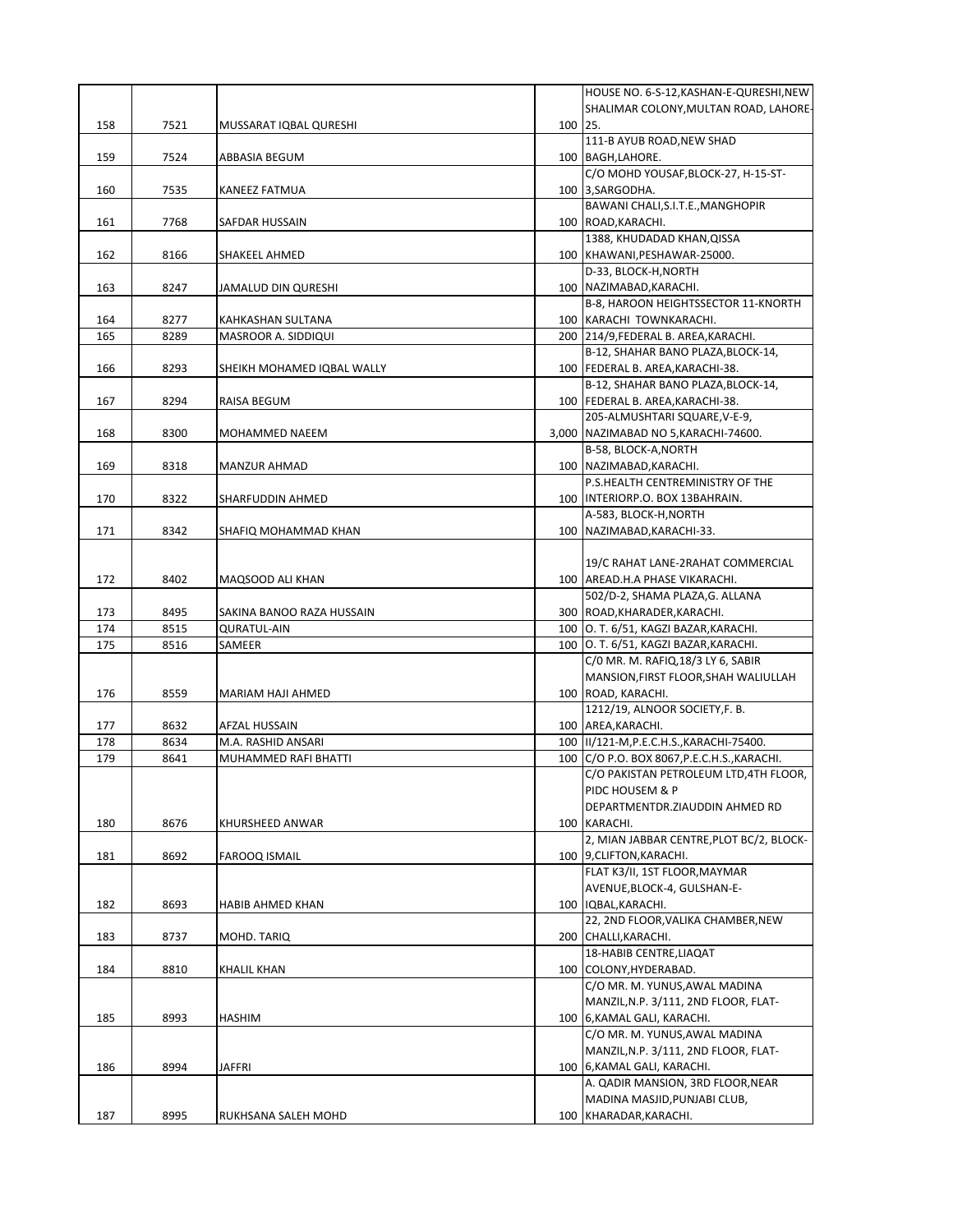|     |      |                            |         | HOUSE NO. 6-S-12, KASHAN-E-QURESHI, NEW                  |
|-----|------|----------------------------|---------|----------------------------------------------------------|
|     |      |                            |         | SHALIMAR COLONY, MULTAN ROAD, LAHORE-                    |
| 158 | 7521 | MUSSARAT IQBAL QURESHI     | 100 25. |                                                          |
|     |      |                            |         | 111-B AYUB ROAD, NEW SHAD                                |
| 159 | 7524 | ABBASIA BEGUM              |         | 100 BAGH, LAHORE.                                        |
|     |      |                            |         | C/O MOHD YOUSAF, BLOCK-27, H-15-ST-                      |
| 160 | 7535 | KANEEZ FATMUA              |         | 100 3, SARGODHA.                                         |
|     |      |                            |         | BAWANI CHALI, S.I.T.E., MANGHOPIR                        |
| 161 | 7768 | SAFDAR HUSSAIN             |         | 100 ROAD, KARACHI.                                       |
|     |      |                            |         | 1388, KHUDADAD KHAN, QISSA                               |
| 162 | 8166 | SHAKEEL AHMED              |         | 100 KHAWANI, PESHAWAR-25000.                             |
|     |      |                            |         | D-33, BLOCK-H, NORTH                                     |
| 163 | 8247 | JAMALUD DIN QURESHI        |         | 100 NAZIMABAD, KARACHI.                                  |
|     |      |                            |         | B-8, HAROON HEIGHTSSECTOR 11-KNORTH                      |
| 164 | 8277 | KAHKASHAN SULTANA          |         | 100 KARACHI TOWNKARACHI.                                 |
| 165 | 8289 | MASROOR A. SIDDIQUI        |         | 200 214/9, FEDERAL B. AREA, KARACHI.                     |
|     |      |                            |         | B-12, SHAHAR BANO PLAZA, BLOCK-14,                       |
| 166 | 8293 | SHEIKH MOHAMED IQBAL WALLY |         | 100 FEDERAL B. AREA, KARACHI-38.                         |
|     |      |                            |         | B-12, SHAHAR BANO PLAZA, BLOCK-14,                       |
| 167 | 8294 | RAISA BEGUM                |         | 100 FEDERAL B. AREA, KARACHI-38.                         |
|     |      |                            |         | 205-ALMUSHTARI SQUARE, V-E-9,                            |
| 168 | 8300 | MOHAMMED NAEEM             |         | 3,000 NAZIMABAD NO 5, KARACHI-74600.                     |
|     |      |                            |         | B-58, BLOCK-A, NORTH                                     |
| 169 | 8318 | MANZUR AHMAD               |         | 100 NAZIMABAD, KARACHI.                                  |
|     |      |                            |         | P.S.HEALTH CENTREMINISTRY OF THE                         |
| 170 | 8322 | SHARFUDDIN AHMED           |         | 100   INTERIORP.O. BOX 13BAHRAIN.                        |
|     |      |                            |         | A-583, BLOCK-H, NORTH                                    |
| 171 | 8342 | SHAFIQ MOHAMMAD KHAN       |         | 100 NAZIMABAD, KARACHI-33.                               |
|     |      |                            |         |                                                          |
|     |      |                            |         | 19/C RAHAT LANE-2RAHAT COMMERCIAL                        |
| 172 | 8402 | MAQSOOD ALI KHAN           |         | 100   AREAD.H.A PHASE VIKARACHI.                         |
|     |      |                            |         | 502/D-2, SHAMA PLAZA, G. ALLANA                          |
| 173 | 8495 | SAKINA BANOO RAZA HUSSAIN  |         | 300 ROAD, KHARADER, KARACHI.                             |
| 174 | 8515 | <b>QURATUL-AIN</b>         |         | 100 O. T. 6/51, KAGZI BAZAR, KARACHI.                    |
| 175 | 8516 | SAMEER                     |         | 100 O. T. 6/51, KAGZI BAZAR, KARACHI.                    |
|     |      |                            |         | C/0 MR. M. RAFIQ, 18/3 LY 6, SABIR                       |
|     |      |                            |         | MANSION, FIRST FLOOR, SHAH WALIULLAH                     |
| 176 | 8559 | MARIAM HAJI AHMED          |         | 100 ROAD, KARACHI.                                       |
|     |      |                            |         | 1212/19, ALNOOR SOCIETY, F. B.                           |
| 177 | 8632 | AFZAL HUSSAIN              |         | 100 AREA, KARACHI.                                       |
| 178 | 8634 | M.A. RASHID ANSARI         |         | 100  II/121-M, P.E.C.H.S., KARACHI-75400.                |
| 179 | 8641 | MUHAMMED RAFI BHATTI       |         | 100 C/O P.O. BOX 8067, P.E.C.H.S., KARACHI.              |
|     |      |                            |         | C/O PAKISTAN PETROLEUM LTD,4TH FLOOR,                    |
|     |      |                            |         | PIDC HOUSEM & P                                          |
|     |      |                            |         | DEPARTMENTDR.ZIAUDDIN AHMED RD                           |
| 180 | 8676 | KHURSHEED ANWAR            |         | 100 KARACHI.<br>2, MIAN JABBAR CENTRE, PLOT BC/2, BLOCK- |
| 181 | 8692 | FAROOQ ISMAIL              |         | 100 9, CLIFTON, KARACHI.                                 |
|     |      |                            |         | FLAT K3/II, 1ST FLOOR, MAYMAR                            |
|     |      |                            |         | AVENUE, BLOCK-4, GULSHAN-E-                              |
| 182 | 8693 | HABIB AHMED KHAN           |         | 100   IQBAL, KARACHI.                                    |
|     |      |                            |         | 22, 2ND FLOOR, VALIKA CHAMBER, NEW                       |
| 183 | 8737 | MOHD. TARIQ                |         | 200 CHALLI, KARACHI.                                     |
|     |      |                            |         | 18-HABIB CENTRE, LIAQAT                                  |
| 184 | 8810 | KHALIL KHAN                |         | 100 COLONY, HYDERABAD.                                   |
|     |      |                            |         | C/O MR. M. YUNUS, AWAL MADINA                            |
|     |      |                            |         | MANZIL, N.P. 3/111, 2ND FLOOR, FLAT-                     |
| 185 | 8993 | HASHIM                     |         | 100 6, KAMAL GALI, KARACHI.                              |
|     |      |                            |         | C/O MR. M. YUNUS, AWAL MADINA                            |
|     |      |                            |         | MANZIL, N.P. 3/111, 2ND FLOOR, FLAT-                     |
| 186 | 8994 | JAFFRI                     |         | 100 6, KAMAL GALI, KARACHI.                              |
|     |      |                            |         | A. QADIR MANSION, 3RD FLOOR, NEAR                        |
|     |      |                            |         | MADINA MASJID, PUNJABI CLUB,                             |
| 187 | 8995 | RUKHSANA SALEH MOHD        |         | 100 KHARADAR, KARACHI.                                   |
|     |      |                            |         |                                                          |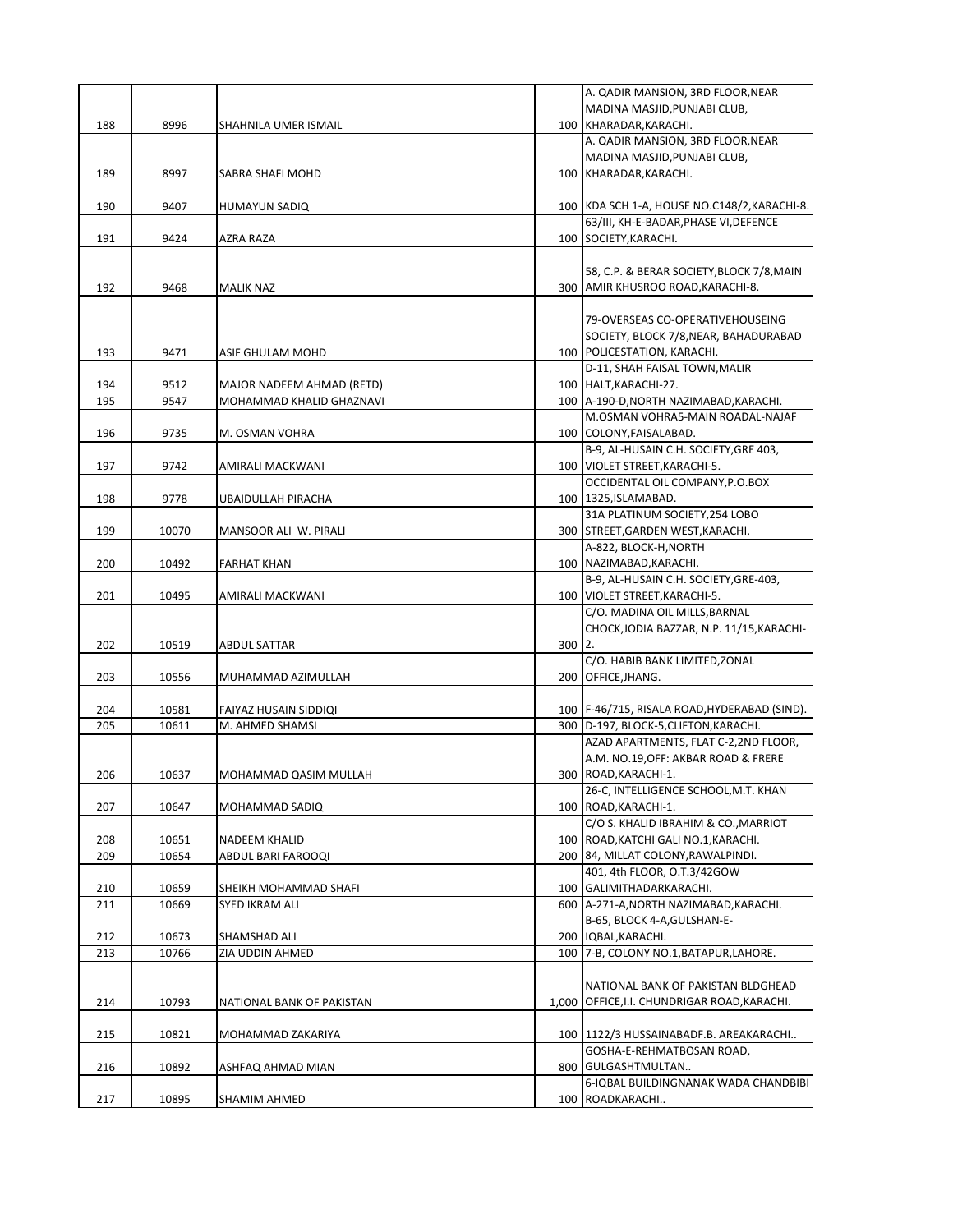|     |       |                              |          | A. QADIR MANSION, 3RD FLOOR, NEAR              |
|-----|-------|------------------------------|----------|------------------------------------------------|
|     |       |                              |          | MADINA MASJID, PUNJABI CLUB,                   |
| 188 | 8996  | SHAHNILA UMER ISMAIL         |          | 100 KHARADAR, KARACHI.                         |
|     |       |                              |          | A. QADIR MANSION, 3RD FLOOR, NEAR              |
|     |       |                              |          | MADINA MASJID, PUNJABI CLUB,                   |
| 189 | 8997  | SABRA SHAFI MOHD             |          | 100 KHARADAR, KARACHI.                         |
|     |       |                              |          |                                                |
| 190 | 9407  | HUMAYUN SADIQ                |          | 100 KDA SCH 1-A, HOUSE NO.C148/2, KARACHI-8.   |
|     |       |                              |          | 63/III, KH-E-BADAR, PHASE VI, DEFENCE          |
| 191 | 9424  | AZRA RAZA                    |          | 100 SOCIETY, KARACHI.                          |
|     |       |                              |          |                                                |
|     |       |                              |          | 58, C.P. & BERAR SOCIETY, BLOCK 7/8, MAIN      |
| 192 | 9468  |                              |          | 300 AMIR KHUSROO ROAD, KARACHI-8.              |
|     |       | <b>MALIK NAZ</b>             |          |                                                |
|     |       |                              |          |                                                |
|     |       |                              |          | 79-OVERSEAS CO-OPERATIVEHOUSEING               |
|     |       |                              |          | SOCIETY, BLOCK 7/8, NEAR, BAHADURABAD          |
| 193 | 9471  | ASIF GHULAM MOHD             |          | 100 POLICESTATION, KARACHI.                    |
|     |       |                              |          | D-11, SHAH FAISAL TOWN, MALIR                  |
| 194 | 9512  | MAJOR NADEEM AHMAD (RETD)    |          | 100 HALT, KARACHI-27.                          |
| 195 | 9547  | MOHAMMAD KHALID GHAZNAVI     |          | 100 A-190-D, NORTH NAZIMABAD, KARACHI.         |
|     |       |                              |          | M.OSMAN VOHRA5-MAIN ROADAL-NAJAF               |
| 196 | 9735  | M. OSMAN VOHRA               |          | 100 COLONY, FAISALABAD.                        |
|     |       |                              |          | B-9, AL-HUSAIN C.H. SOCIETY, GRE 403,          |
| 197 | 9742  | AMIRALI MACKWANI             |          | 100   VIOLET STREET, KARACHI-5.                |
|     |       |                              |          | OCCIDENTAL OIL COMPANY, P.O.BOX                |
| 198 | 9778  | UBAIDULLAH PIRACHA           |          | 100 1325, ISLAMABAD.                           |
|     |       |                              |          | 31A PLATINUM SOCIETY, 254 LOBO                 |
| 199 | 10070 | MANSOOR ALI W. PIRALI        |          | 300 STREET, GARDEN WEST, KARACHI.              |
|     |       |                              |          | A-822, BLOCK-H, NORTH                          |
| 200 | 10492 | <b>FARHAT KHAN</b>           |          | 100 NAZIMABAD, KARACHI.                        |
|     |       |                              |          | B-9, AL-HUSAIN C.H. SOCIETY, GRE-403,          |
| 201 | 10495 | AMIRALI MACKWANI             |          | 100   VIOLET STREET, KARACHI-5.                |
|     |       |                              |          | C/O. MADINA OIL MILLS, BARNAL                  |
|     |       |                              |          | CHOCK, JODIA BAZZAR, N.P. 11/15, KARACHI-      |
| 202 | 10519 | ABDUL SATTAR                 | $300$ 2. |                                                |
|     |       |                              |          | C/O. HABIB BANK LIMITED, ZONAL                 |
| 203 | 10556 | MUHAMMAD AZIMULLAH           |          | 200 OFFICE, JHANG.                             |
|     |       |                              |          |                                                |
| 204 | 10581 | <b>FAIYAZ HUSAIN SIDDIQI</b> |          | 100   F-46/715, RISALA ROAD, HYDERABAD (SIND). |
| 205 | 10611 | M. AHMED SHAMSI              |          | 300 D-197, BLOCK-5, CLIFTON, KARACHI.          |
|     |       |                              |          | AZAD APARTMENTS, FLAT C-2,2ND FLOOR,           |
|     |       |                              |          | A.M. NO.19, OFF: AKBAR ROAD & FRERE            |
| 206 | 10637 | MOHAMMAD QASIM MULLAH        |          | 300 ROAD, KARACHI-1.                           |
|     |       |                              |          | 26-C, INTELLIGENCE SCHOOL, M.T. KHAN           |
|     |       |                              |          | 100 ROAD, KARACHI-1.                           |
| 207 | 10647 | MOHAMMAD SADIQ               |          | C/O S. KHALID IBRAHIM & CO., MARRIOT           |
|     |       |                              |          |                                                |
| 208 | 10651 | <b>NADEEM KHALID</b>         |          | 100 ROAD, KATCHI GALI NO.1, KARACHI.           |
| 209 | 10654 | ABDUL BARI FAROOQI           |          | 200 84, MILLAT COLONY, RAWALPINDI.             |
|     |       |                              |          | 401, 4th FLOOR, O.T.3/42GOW                    |
| 210 | 10659 | SHEIKH MOHAMMAD SHAFI        |          | 100 GALIMITHADARKARACHI.                       |
| 211 | 10669 | SYED IKRAM ALI               |          | 600   A-271-A, NORTH NAZIMABAD, KARACHI.       |
|     |       |                              |          | B-65, BLOCK 4-A, GULSHAN-E-                    |
| 212 | 10673 | SHAMSHAD ALI                 |          | 200   IQBAL, KARACHI.                          |
| 213 | 10766 | ZIA UDDIN AHMED              |          | 100 7-B, COLONY NO.1, BATAPUR, LAHORE.         |
|     |       |                              |          |                                                |
|     |       |                              |          | NATIONAL BANK OF PAKISTAN BLDGHEAD             |
| 214 | 10793 | NATIONAL BANK OF PAKISTAN    |          | 1,000 OFFICE, I.I. CHUNDRIGAR ROAD, KARACHI.   |
|     |       |                              |          |                                                |
| 215 | 10821 | MOHAMMAD ZAKARIYA            |          | 100 1122/3 HUSSAINABADF.B. AREAKARACHI         |
|     |       |                              |          | GOSHA-E-REHMATBOSAN ROAD,                      |
| 216 | 10892 | ASHFAQ AHMAD MIAN            |          | 800 GULGASHTMULTAN                             |
|     |       |                              |          | 6-IQBAL BUILDINGNANAK WADA CHANDBIBI           |
| 217 | 10895 | SHAMIM AHMED                 |          | 100 ROADKARACHI                                |
|     |       |                              |          |                                                |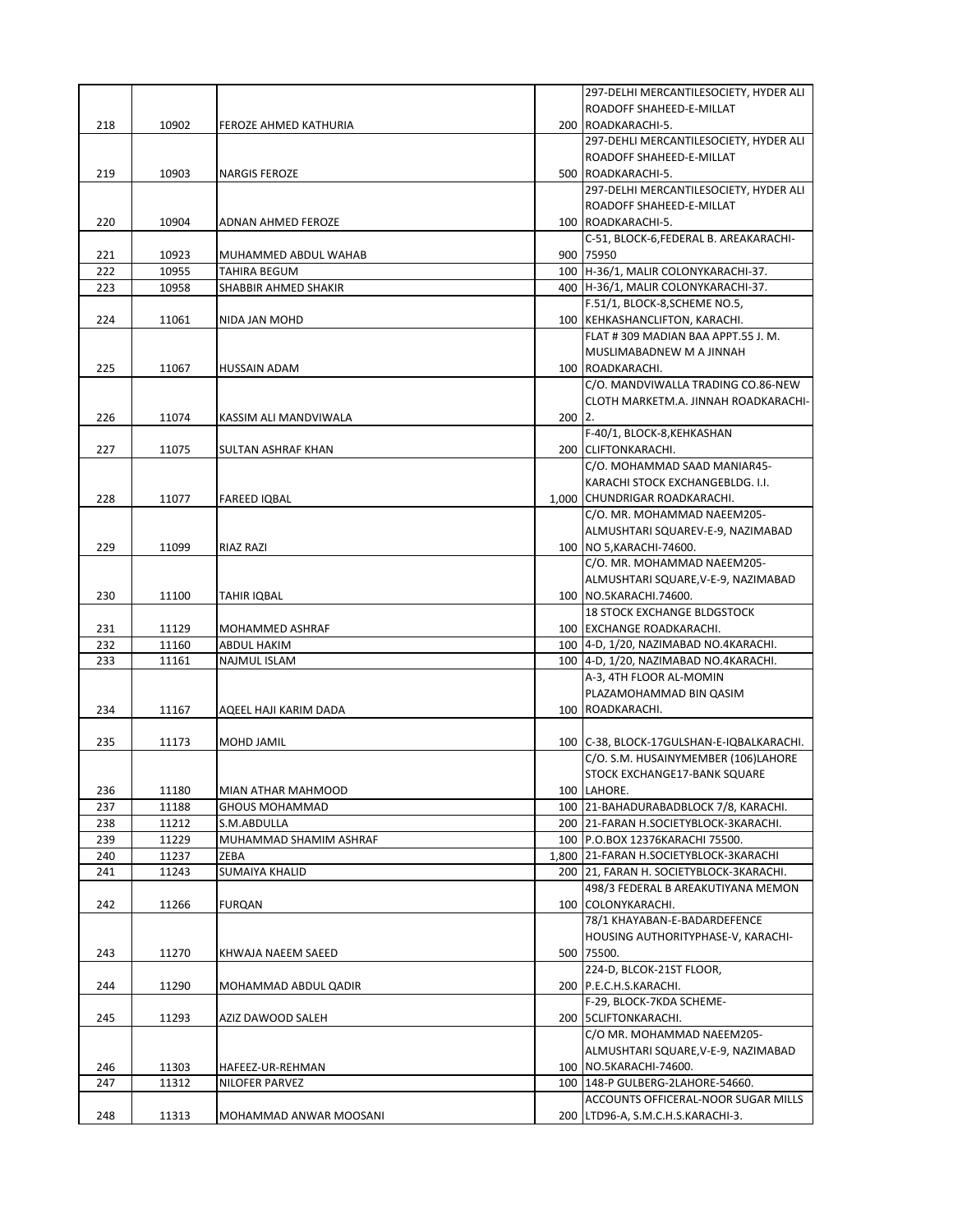|     |       |                        |          | 297-DELHI MERCANTILESOCIETY, HYDER ALI    |
|-----|-------|------------------------|----------|-------------------------------------------|
|     |       |                        |          | ROADOFF SHAHEED-E-MILLAT                  |
| 218 | 10902 | FEROZE AHMED KATHURIA  |          | 200 ROADKARACHI-5.                        |
|     |       |                        |          | 297-DEHLI MERCANTILESOCIETY, HYDER ALI    |
|     |       |                        |          | ROADOFF SHAHEED-E-MILLAT                  |
| 219 | 10903 | <b>NARGIS FEROZE</b>   |          | 500 ROADKARACHI-5.                        |
|     |       |                        |          | 297-DELHI MERCANTILESOCIETY, HYDER ALI    |
|     |       |                        |          | ROADOFF SHAHEED-E-MILLAT                  |
| 220 | 10904 | ADNAN AHMED FEROZE     |          | 100 ROADKARACHI-5.                        |
|     |       |                        |          | C-51, BLOCK-6, FEDERAL B. AREAKARACHI-    |
| 221 | 10923 | MUHAMMED ABDUL WAHAB   |          | 900 75950                                 |
| 222 | 10955 | TAHIRA BEGUM           |          | 100 H-36/1, MALIR COLONYKARACHI-37.       |
| 223 | 10958 | SHABBIR AHMED SHAKIR   |          | 400 H-36/1. MALIR COLONYKARACHI-37.       |
|     |       |                        |          | F.51/1, BLOCK-8, SCHEME NO.5,             |
|     |       |                        |          |                                           |
| 224 | 11061 | NIDA JAN MOHD          |          | 100 KEHKASHANCLIFTON, KARACHI.            |
|     |       |                        |          | FLAT #309 MADIAN BAA APPT.55 J.M.         |
|     |       |                        |          | MUSLIMABADNEW M A JINNAH                  |
| 225 | 11067 | HUSSAIN ADAM           |          | 100 ROADKARACHI.                          |
|     |       |                        |          | C/O. MANDVIWALLA TRADING CO.86-NEW        |
|     |       |                        |          | CLOTH MARKETM.A. JINNAH ROADKARACHI-      |
| 226 | 11074 | KASSIM ALI MANDVIWALA  | $200$ 2. |                                           |
|     |       |                        |          | F-40/1, BLOCK-8, KEHKASHAN                |
| 227 | 11075 | SULTAN ASHRAF KHAN     |          | 200 CLIFTONKARACHI.                       |
|     |       |                        |          | C/O. MOHAMMAD SAAD MANIAR45-              |
|     |       |                        |          | KARACHI STOCK EXCHANGEBLDG. I.I.          |
| 228 | 11077 | <b>FAREED IQBAL</b>    |          | 1,000 CHUNDRIGAR ROADKARACHI.             |
|     |       |                        |          | C/O. MR. MOHAMMAD NAEEM205-               |
|     |       |                        |          | ALMUSHTARI SQUAREV-E-9, NAZIMABAD         |
| 229 | 11099 | <b>RIAZ RAZI</b>       |          | 100   NO 5, KARACHI-74600.                |
|     |       |                        |          | C/O. MR. MOHAMMAD NAEEM205-               |
|     |       |                        |          |                                           |
|     |       |                        |          | ALMUSHTARI SQUARE, V-E-9, NAZIMABAD       |
| 230 | 11100 | TAHIR IQBAL            |          | 100 NO.5KARACHI.74600.                    |
|     |       |                        |          | <b>18 STOCK EXCHANGE BLDGSTOCK</b>        |
| 231 | 11129 | MOHAMMED ASHRAF        |          | 100 EXCHANGE ROADKARACHI.                 |
| 232 | 11160 | ABDUL HAKIM            |          | 100 4-D, 1/20, NAZIMABAD NO.4KARACHI.     |
| 233 | 11161 | NAJMUL ISLAM           |          | 100 4-D, 1/20, NAZIMABAD NO.4KARACHI.     |
|     |       |                        |          | A-3, 4TH FLOOR AL-MOMIN                   |
|     |       |                        |          | PLAZAMOHAMMAD BIN QASIM                   |
| 234 | 11167 | AQEEL HAJI KARIM DADA  |          | 100 ROADKARACHI.                          |
|     |       |                        |          |                                           |
| 235 | 11173 | MOHD JAMIL             |          | 100 C-38, BLOCK-17GULSHAN-E-IQBALKARACHI. |
|     |       |                        |          | C/O. S.M. HUSAINYMEMBER (106)LAHORE       |
|     |       |                        |          | STOCK EXCHANGE17-BANK SQUARE              |
| 236 | 11180 | MIAN ATHAR MAHMOOD     |          | 100 LAHORE.                               |
| 237 | 11188 | <b>GHOUS MOHAMMAD</b>  |          | 100 21-BAHADURABADBLOCK 7/8, KARACHI.     |
| 238 | 11212 | S.M.ABDULLA            |          | 200 21-FARAN H.SOCIETYBLOCK-3KARACHI.     |
| 239 | 11229 | MUHAMMAD SHAMIM ASHRAF |          | 100 P.O.BOX 12376KARACHI 75500.           |
| 240 | 11237 | ZEBA                   |          | 1,800 21-FARAN H.SOCIETYBLOCK-3KARACHI    |
| 241 | 11243 | SUMAIYA KHALID         |          | 200 21, FARAN H. SOCIETYBLOCK-3KARACHI.   |
|     |       |                        |          | 498/3 FEDERAL B AREAKUTIYANA MEMON        |
| 242 | 11266 | <b>FURQAN</b>          |          | 100 COLONYKARACHI.                        |
|     |       |                        |          | 78/1 KHAYABAN-E-BADARDEFENCE              |
|     |       |                        |          |                                           |
| 243 |       |                        |          |                                           |
|     |       |                        |          | HOUSING AUTHORITYPHASE-V, KARACHI-        |
|     | 11270 | KHWAJA NAEEM SAEED     |          | 500 75500.                                |
|     |       |                        |          | 224-D, BLCOK-21ST FLOOR,                  |
| 244 | 11290 | MOHAMMAD ABDUL QADIR   |          | 200   P.E.C.H.S.KARACHI.                  |
|     |       |                        |          | F-29, BLOCK-7KDA SCHEME-                  |
| 245 | 11293 | AZIZ DAWOOD SALEH      |          | 200 SCLIFTONKARACHI.                      |
|     |       |                        |          | C/O MR. MOHAMMAD NAEEM205-                |
|     |       |                        |          | ALMUSHTARI SQUARE, V-E-9, NAZIMABAD       |
| 246 | 11303 | HAFEEZ-UR-REHMAN       |          | 100 NO.5KARACHI-74600.                    |
| 247 | 11312 | NILOFER PARVEZ         |          | 100   148-P GULBERG-2LAHORE-54660.        |
|     |       |                        |          | ACCOUNTS OFFICERAL-NOOR SUGAR MILLS       |